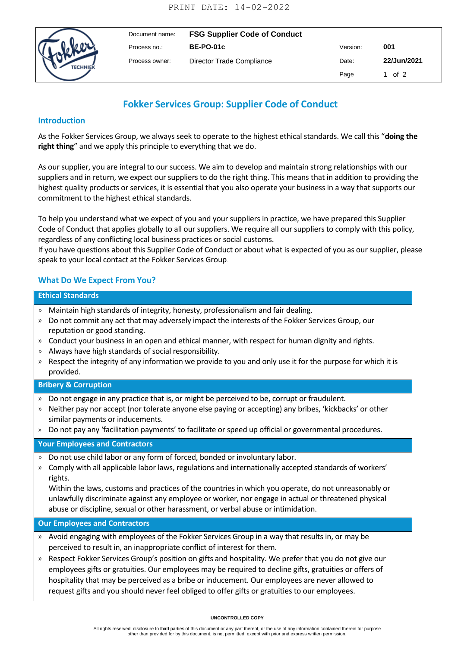

| Document name: | <b>FSG Supplier Code of Conduct</b> |          |             |
|----------------|-------------------------------------|----------|-------------|
| Process no.:   | <b>BE-PO-01c</b>                    | Version: | 001         |
| Process owner: | Director Trade Compliance           | Date:    | 22/Jun/2021 |
|                |                                     | Page     | 1 of 2      |

# **Fokker Services Group: Supplier Code of Conduct**

# **Introduction**

As the Fokker Services Group, we always seek to operate to the highest ethical standards. We call this "**doing the right thing**" and we apply this principle to everything that we do.

As our supplier, you are integral to our success. We aim to develop and maintain strong relationships with our suppliers and in return, we expect our suppliers to do the right thing. This means that in addition to providing the highest quality products or services, it is essential that you also operate your business in a way that supports our commitment to the highest ethical standards.

To help you understand what we expect of you and your suppliers in practice, we have prepared this Supplier Code of Conduct that applies globally to all our suppliers. We require all our suppliers to comply with this policy, regardless of any conflicting local business practices or social customs.

If you have questions about this Supplier Code of Conduct or about what is expected of you as our supplier, please speak to your local contact at the Fokker Services Group.

# **What Do We Expect From You?**

#### **Ethical Standards**

- » Maintain high standards of integrity, honesty, professionalism and fair dealing.
- » Do not commit any act that may adversely impact the interests of the Fokker Services Group, our reputation or good standing.
- » Conduct your business in an open and ethical manner, with respect for human dignity and rights.
- » Always have high standards of social responsibility.
- » Respect the integrity of any information we provide to you and only use it for the purpose for which it is provided.

# **Bribery & Corruption**

- » Do not engage in any practice that is, or might be perceived to be, corrupt or fraudulent.
- » Neither pay nor accept (nor tolerate anyone else paying or accepting) any bribes, 'kickbacks' or other similar payments or inducements.
- » Do not pay any 'facilitation payments' to facilitate or speed up official or governmental procedures.

### **Your Employees and Contractors**

- » Do not use child labor or any form of forced, bonded or involuntary labor.
- » Comply with all applicable labor laws, regulations and internationally accepted standards of workers' rights.

» Within the laws, customs and practices of the countries in which you operate, do not unreasonably or unlawfully discriminate against any employee or worker, nor engage in actual or threatened physical abuse or discipline, sexual or other harassment, or verbal abuse or intimidation.

### **Our Employees and Contractors**

- » Avoid engaging with employees of the Fokker Services Group in a way that results in, or may be perceived to result in, an inappropriate conflict of interest for them.
- » Respect Fokker Services Group's position on gifts and hospitality. We prefer that you do not give our employees gifts or gratuities. Our employees may be required to decline gifts, gratuities or offers of hospitality that may be perceived as a bribe or inducement. Our employees are never allowed to request gifts and you should never feel obliged to offer gifts or gratuities to our employees.

#### **UNCONTROLLED COPY**